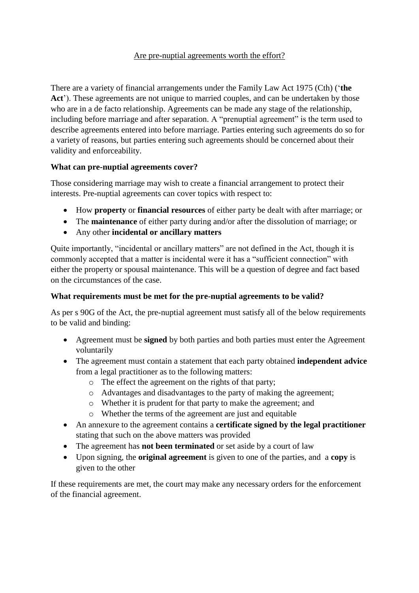### Are pre-nuptial agreements worth the effort?

There are a variety of financial arrangements under the Family Law Act 1975 (Cth) ('**the**  Act'). These agreements are not unique to married couples, and can be undertaken by those who are in a de facto relationship. Agreements can be made any stage of the relationship, including before marriage and after separation. A "prenuptial agreement" is the term used to describe agreements entered into before marriage. Parties entering such agreements do so for a variety of reasons, but parties entering such agreements should be concerned about their validity and enforceability.

# **What can pre-nuptial agreements cover?**

Those considering marriage may wish to create a financial arrangement to protect their interests. Pre-nuptial agreements can cover topics with respect to:

- How **property** or **financial resources** of either party be dealt with after marriage; or
- The **maintenance** of either party during and/or after the dissolution of marriage; or
- Any other **incidental or ancillary matters**

Quite importantly, "incidental or ancillary matters" are not defined in the Act, though it is commonly accepted that a matter is incidental were it has a "sufficient connection" with either the property or spousal maintenance. This will be a question of degree and fact based on the circumstances of the case.

# **What requirements must be met for the pre-nuptial agreements to be valid?**

As per s 90G of the Act, the pre-nuptial agreement must satisfy all of the below requirements to be valid and binding:

- Agreement must be **signed** by both parties and both parties must enter the Agreement voluntarily
- The agreement must contain a statement that each party obtained **independent advice** from a legal practitioner as to the following matters:
	- o The effect the agreement on the rights of that party;
	- o Advantages and disadvantages to the party of making the agreement;
	- o Whether it is prudent for that party to make the agreement; and
	- o Whether the terms of the agreement are just and equitable
- An annexure to the agreement contains a **certificate signed by the legal practitioner** stating that such on the above matters was provided
- The agreement has **not been terminated** or set aside by a court of law
- Upon signing, the **original agreement** is given to one of the parties, and a **copy** is given to the other

If these requirements are met, the court may make any necessary orders for the enforcement of the financial agreement.